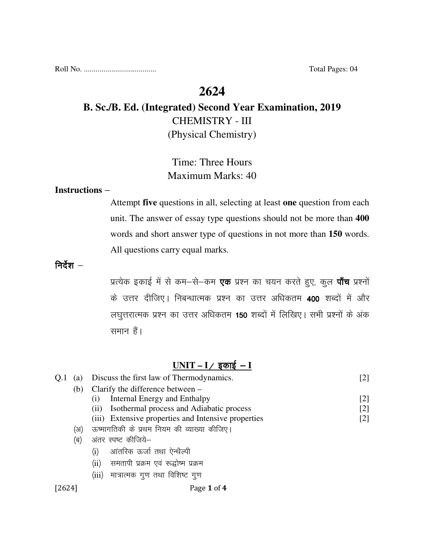# **2624**

# **B. Sc./B. Ed. (Integrated) Second Year Examination, 2019**  CHEMISTRY - III (Physical Chemistry)

# Time: Three Hours Maximum Marks: 40

#### **Instructions** –

Attempt **five** questions in all, selecting at least **one** question from each unit. The answer of essay type questions should not be more than **400** words and short answer type of questions in not more than **150** words. All questions carry equal marks.

निर्देश $-$ 

प्रत्येक इकाई में से कम-से-कम **एक** प्रश्न का चयन करते हुए, कुल **पाँच** प्रश्नों के उत्तर दीजिए। निबन्धात्मक प्रश्न का उत्तर अधिकतम 400 शब्दों में और लघुत्तरात्मक प्रश्न का उत्तर अधिकतम 150 शब्दों में लिखिए। सभी प्रश्नों के अंक समान हैं।

### <u>UNIT – I ⁄ इकाई – I</u>

|  | (a) | Discuss the first law of Thermodynamics.            | [2]   |
|--|-----|-----------------------------------------------------|-------|
|  | (b) | Clarify the difference between –                    |       |
|  |     | Internal Energy and Enthalpy<br>(1)                 | $[2]$ |
|  |     | Isothermal process and Adiabatic process<br>(i)     | [2]   |
|  |     | (iii) Extensive properties and Intensive properties | [2]   |
|  | (अ) | ऊष्मागतिकी के प्रथम नियम की व्याख्या कीजिए।         |       |
|  | (ब) | अंतर स्पष्ट कीजिये–                                 |       |
|  |     | आंतरिक ऊर्जा तथा ऐन्थैल्पी<br>(i)                   |       |
|  |     | समतापी प्रक्रम एवं रूद्धोष्म प्रक्रम<br>$\rm (ii)$  |       |
|  |     | (iii) मात्रात्मक गुण तथा विशिष्ट गुण                |       |
|  |     |                                                     |       |

#### [2624] **Page 1 of 4**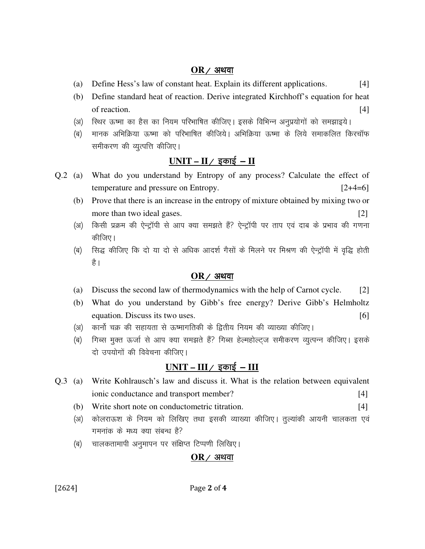#### $OR$  / अथवा

- (a) Define Hess's law of constant heat. Explain its different applications. [4]
- (b) Define standard heat of reaction. Derive integrated Kirchhoff's equation for heat of reaction.  $[4]$
- (अ) रिथर ऊष्मा का हैस का नियम परिभाषित कीजिए। इसके विभिन्न अनुप्रयोगों को समझाइये।
- (ब) मानक अभिक्रिया ऊष्मा को परिभाषित कीजिये। अभिक्रिया ऊष्मा के लिये समाकलित किरचॉफ समीकरण की व्युत्पत्ति कीजिए।

## $UNIT - II /$  इकाई  $- II$

- Q.2 (a) What do you understand by Entropy of any process? Calculate the effect of temperature and pressure on Entropy. [2+4=6]
	- (b) Prove that there is an increase in the entropy of mixture obtained by mixing two or more than two ideal gases. [2]
	- (अ) किसी प्रक्रम की ऐन्ट्रॉपी से आप क्या समझते हैं? ऐन्ट्रॉपी पर ताप एवं दाब के प्रभाव की गणना कीजिए।
	- (ब) सिद्ध कीजिए कि दो या दो से अधिक आदर्श गैसों के मिलने पर मिश्रण की ऐन्ट्रॉपी में वृद्धि होती है ।

### $OR$  / अथवा

- (a) Discuss the second law of thermodynamics with the help of Carnot cycle. [2]
- (b) What do you understand by Gibb's free energy? Derive Gibb's Helmholtz equation. Discuss its two uses. [6] [6]
- (अ) कार्नो चक्र की सहायता से ऊष्मागतिकी के द्वितीय नियम की व्याख्या कीजिए।
- (ब) किस मुक्त ऊर्जा से आप क्या समझते हैं? गिब्स हेल्महोल्ट्ज समीकरण व्युत्पन्न कीजिए। इसके दो उपयोगों की विवेचना कीजिए।

## <u>UNIT – III / इकाई – III</u>

- Q.3 (a) Write Kohlrausch's law and discuss it. What is the relation between equivalent ionic conductance and transport member? [4]
	- (b) Write short note on conductometric titration. [4]
	- (अ) कोलराऊश के नियम को लिखिए तथा इसकी व्याख्या कीजिए। तुल्यांकी आयनी चालकता एवं गमनांक के मध्य क्या संबन्ध है?
	- (ब) चालकतामापी अनुमापन पर संक्षिप्त टिप्पणी लिखिए।

### $OR$  / अथवा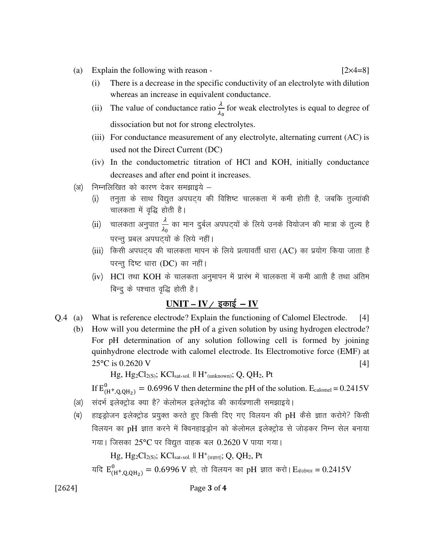- (a) Explain the following with reason  $[2 \times 4=8]$ 
	- (i) There is a decrease in the specific conductivity of an electrolyte with dilution whereas an increase in equivalent conductance.
- (ii) The value of conductance ratio  $\frac{\lambda}{\lambda_0}$  for weak electrolytes is equal to degree of dissociation but not for strong electrolytes.
	- (iii) For conductance measurement of any electrolyte, alternating current (AC) is used not the Direct Current (DC)
	- (iv) In the conductometric titration of HCl and KOH, initially conductance decreases and after end point it increases.
	- (अ) निम्नलिखित को कारण देकर समझाइये
		- (i) तनुता के साथ विद्युत अपघट्य की विशिष्ट चालकता में कमी होती है, जबकि तुल्यांकी चालकता में वृद्धि होती है।
- (ii) चालकता अनुपात  $\frac{\lambda}{\lambda_0}$  का मान दुर्बल अपघट्यों के लिये उनके वियोजन की मात्रा के तुल्य है परन्तु प्रबल अपघट्यों के लिये नहीं।
	- (iii) किसी अपघट्य की चालकता मापन के लिये प्रत्यावर्ती धारा (AC) का प्रयोग किया जाता है परन्तु दिष्ट धारा (DC) का नहीं।
	- (iv) HCl तथा KOH के चालकता अनुमापन में प्रारंभ में चालकता में कमी आती है तथा अंतिम बिन्दू के पश्चात वृद्धि होती है।

### $UNIT - IV /$  इकाई - IV

- Q.4 (a) What is reference electrode? Explain the functioning of Calomel Electrode. [4]
	- (b) How will you determine the pH of a given solution by using hydrogen electrode? For pH determination of any solution following cell is formed by joining quinhydrone electrode with calomel electrode. Its Electromotive force (EMF) at  $25^{\circ}$ C is 0.2620 V [4]

 $Hg, Hg_2Cl_{2(S)}$ ; KClsat.sol.  $\parallel H^+$ (unknown); Q, QH<sub>2</sub>, Pt

If  $E_{(H^+, Q, QH_2)}^0 = 0.6996$  V then determine the pH of the solution.  $E_{\text{calomel}} = 0.2415$ V

- (अ) संदर्भ इलेक्ट्रोड क्या है? केलोमल इलेक्ट्रोड की कार्यप्रणाली समझाइये।
- (ब) हाइड्रोजन इलेक्ट्रोड प्रयुक्त करते हुए किसी दिए गए विलयन की pH कैसे ज्ञात करोगे? किसी विलयन का pH ज्ञात करने में क्विनहाइड्रोन को केलोमल इलेक्ट्रोड से जोड़कर निम्न सेल बनाया गया। जिसका  $25^{\circ}$ C पर विद्युत वाहक बल  $0.2620$  V पाया गया।

 $Hg, Hg_2Cl_{2(S)}$ ; KCl<sub>sat</sub>.sol. || H<sup>+</sup>(अज्ञात); Q, QH<sub>2</sub>, Pt

यदि  $\rm E_{(H^{+},Q_{Q}H_{2})}^{0}=0.6996~V$  हो, तो विलयन का pH ज्ञात करो। $\rm E_{\ddot{\pi}$ लोमल =  $0.2415V$